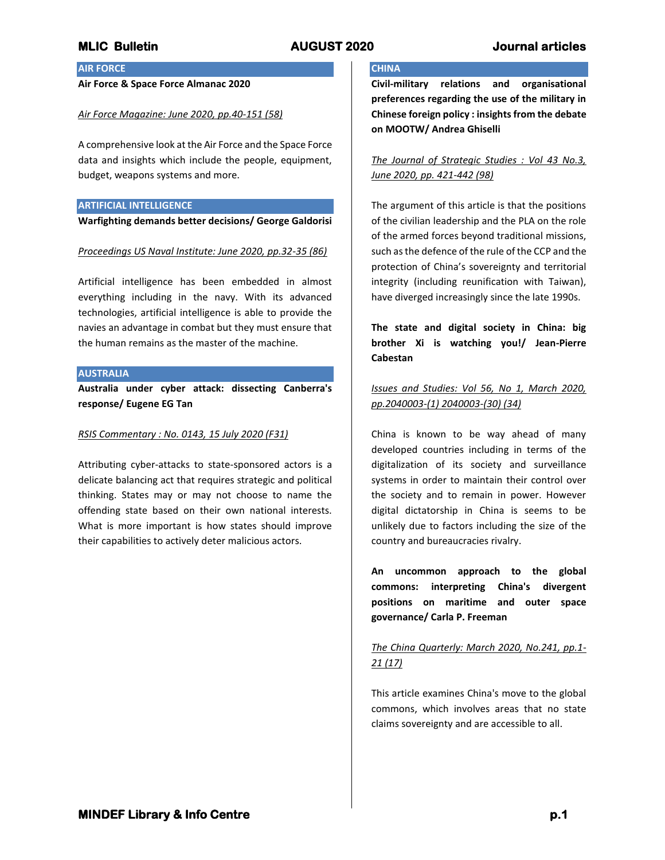**CHINA**

# **MLIC Bulletin AUGUST 2020 Journal articles**

# **AIR FORCE**

## **Air Force & Space Force Almanac 2020**

### *Air Force Magazine: June 2020, pp.40-151 (58)*

A comprehensive look at the Air Force and the Space Force data and insights which include the people, equipment, budget, weapons systems and more.

### **ARTIFICIAL INTELLIGENCE**

**Warfighting demands better decisions/ George Galdorisi**

### *Proceedings US Naval Institute: June 2020, pp.32-35 (86)*

Artificial intelligence has been embedded in almost everything including in the navy. With its advanced technologies, artificial intelligence is able to provide the navies an advantage in combat but they must ensure that the human remains as the master of the machine.

## **AUSTRALIA**

**Australia under cyber attack: dissecting Canberra's response/ Eugene EG Tan**

### *RSIS Commentary : No. 0143, 15 July 2020 (F31)*

Attributing cyber-attacks to state-sponsored actors is a delicate balancing act that requires strategic and political thinking. States may or may not choose to name the offending state based on their own national interests. What is more important is how states should improve their capabilities to actively deter malicious actors.

# **Civil-military relations and organisational preferences regarding the use of the military in Chinese foreign policy : insights from the debate on MOOTW/ Andrea Ghiselli**

*The Journal of Strategic Studies : Vol 43 No.3, June 2020, pp. 421-442 (98)*

The argument of this article is that the positions of the civilian leadership and the PLA on the role of the armed forces beyond traditional missions, such as the defence of the rule of the CCP and the protection of China's sovereignty and territorial integrity (including reunification with Taiwan), have diverged increasingly since the late 1990s.

**The state and digital society in China: big brother Xi is watching you!/ Jean-Pierre Cabestan**

# *Issues and Studies: Vol 56, No 1, March 2020, pp.2040003-(1) 2040003-(30) (34)*

China is known to be way ahead of many developed countries including in terms of the digitalization of its society and surveillance systems in order to maintain their control over the society and to remain in power. However digital dictatorship in China is seems to be unlikely due to factors including the size of the country and bureaucracies rivalry.

**An uncommon approach to the global commons: interpreting China's divergent positions on maritime and outer space governance/ Carla P. Freeman**

# *The China Quarterly: March 2020, No.241, pp.1- 21 (17)*

This article examines China's move to the global commons, which involves areas that no state claims sovereignty and are accessible to all.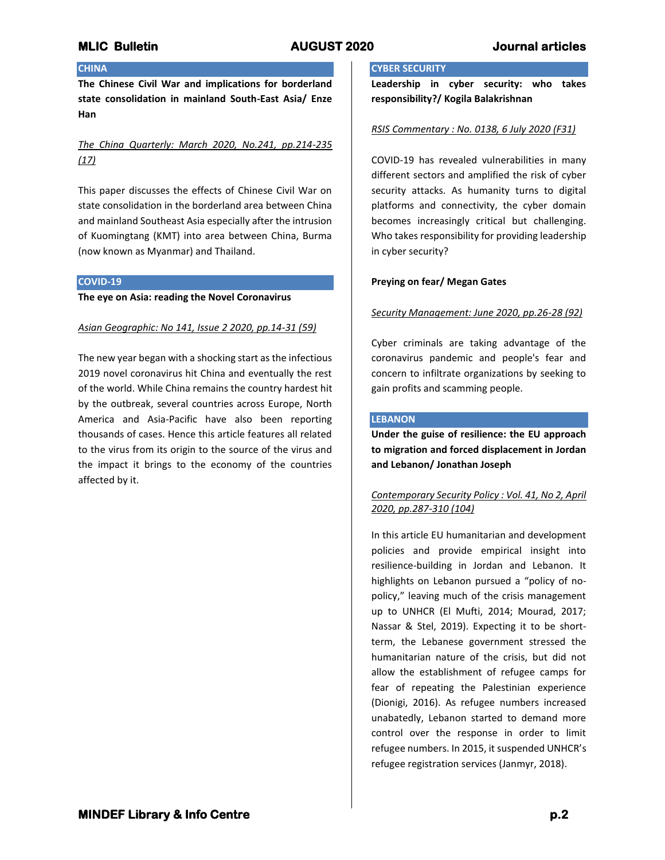# **CHINA**

**The Chinese Civil War and implications for borderland state consolidation in mainland South-East Asia/ Enze Han**

# *The China Quarterly: March 2020, No.241, pp.214-235 (17)*

This paper discusses the effects of Chinese Civil War on state consolidation in the borderland area between China and mainland Southeast Asia especially after the intrusion of Kuomingtang (KMT) into area between China, Burma (now known as Myanmar) and Thailand.

# **COVID-19**

## **The eye on Asia: reading the Novel Coronavirus**

# *Asian Geographic: No 141, Issue 2 2020, pp.14-31 (59)*

The new year began with a shocking start as the infectious 2019 novel coronavirus hit China and eventually the rest of the world. While China remains the country hardest hit by the outbreak, several countries across Europe, North America and Asia-Pacific have also been reporting thousands of cases. Hence this article features all related to the virus from its origin to the source of the virus and the impact it brings to the economy of the countries affected by it.

## **CYBER SECURITY**

**Leadership in cyber security: who takes responsibility?/ Kogila Balakrishnan**

# *RSIS Commentary : No. 0138, 6 July 2020 (F31)*

COVID-19 has revealed vulnerabilities in many different sectors and amplified the risk of cyber security attacks. As humanity turns to digital platforms and connectivity, the cyber domain becomes increasingly critical but challenging. Who takes responsibility for providing leadership in cyber security?

# **Preying on fear/ Megan Gates**

# *Security Management: June 2020, pp.26-28 (92)*

Cyber criminals are taking advantage of the coronavirus pandemic and people's fear and concern to infiltrate organizations by seeking to gain profits and scamming people.

# **LEBANON**

**Under the guise of resilience: the EU approach to migration and forced displacement in Jordan and Lebanon/ Jonathan Joseph**

# *Contemporary Security Policy : Vol. 41, No 2, April 2020, pp.287-310 (104)*

In this article EU humanitarian and development policies and provide empirical insight into resilience-building in Jordan and Lebanon. It highlights on Lebanon pursued a "policy of nopolicy," leaving much of the crisis management up to UNHCR (El Mufti, 2014; Mourad, 2017; Nassar & Stel, 2019). Expecting it to be shortterm, the Lebanese government stressed the humanitarian nature of the crisis, but did not allow the establishment of refugee camps for fear of repeating the Palestinian experience (Dionigi, 2016). As refugee numbers increased unabatedly, Lebanon started to demand more control over the response in order to limit refugee numbers. In 2015, it suspended UNHCR's refugee registration services (Janmyr, 2018).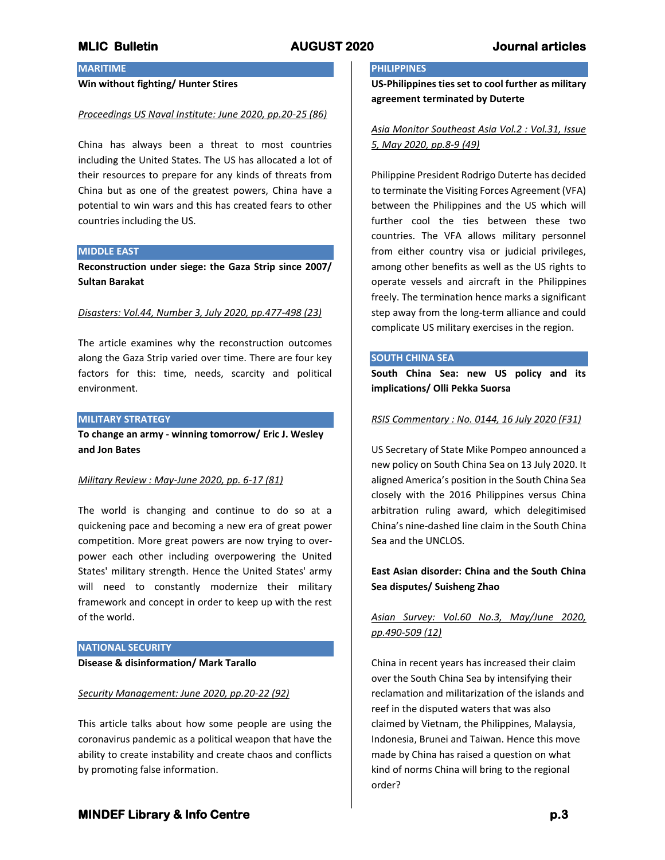# **MARITIME**

# **Win without fighting/ Hunter Stires**

### *Proceedings US Naval Institute: June 2020, pp.20-25 (86)*

China has always been a threat to most countries including the United States. The US has allocated a lot of their resources to prepare for any kinds of threats from China but as one of the greatest powers, China have a potential to win wars and this has created fears to other countries including the US.

## **MIDDLE EAST**

**Reconstruction under siege: the Gaza Strip since 2007/ Sultan Barakat**

### *Disasters: Vol.44, Number 3, July 2020, pp.477-498 (23)*

The article examines why the reconstruction outcomes along the Gaza Strip varied over time. There are four key factors for this: time, needs, scarcity and political environment.

# **MILITARY STRATEGY**

**To change an army - winning tomorrow/ Eric J. Wesley and Jon Bates**

### *Military Review : May-June 2020, pp. 6-17 (81)*

The world is changing and continue to do so at a quickening pace and becoming a new era of great power competition. More great powers are now trying to overpower each other including overpowering the United States' military strength. Hence the United States' army will need to constantly modernize their military framework and concept in order to keep up with the rest of the world.

## **NATIONAL SECURITY**

## **Disease & disinformation/ Mark Tarallo**

### *Security Management: June 2020, pp.20-22 (92)*

This article talks about how some people are using the coronavirus pandemic as a political weapon that have the ability to create instability and create chaos and conflicts by promoting false information.

## **PHILIPPINES**

**US-Philippines ties set to cool further as military agreement terminated by Duterte**

# *Asia Monitor Southeast Asia Vol.2 : Vol.31, Issue 5, May 2020, pp.8-9 (49)*

Philippine President Rodrigo Duterte has decided to terminate the Visiting Forces Agreement (VFA) between the Philippines and the US which will further cool the ties between these two countries. The VFA allows military personnel from either country visa or judicial privileges, among other benefits as well as the US rights to operate vessels and aircraft in the Philippines freely. The termination hence marks a significant step away from the long-term alliance and could complicate US military exercises in the region.

## **SOUTH CHINA SEA**

**South China Sea: new US policy and its implications/ Olli Pekka Suorsa**

## *RSIS Commentary : No. 0144, 16 July 2020 (F31)*

US Secretary of State Mike Pompeo announced a new policy on South China Sea on 13 July 2020. It aligned America's position in the South China Sea closely with the 2016 Philippines versus China arbitration ruling award, which delegitimised China's nine-dashed line claim in the South China Sea and the UNCLOS.

# **East Asian disorder: China and the South China Sea disputes/ Suisheng Zhao**

# *Asian Survey: Vol.60 No.3, May/June 2020, pp.490-509 (12)*

China in recent years has increased their claim over the South China Sea by intensifying their reclamation and militarization of the islands and reef in the disputed waters that was also claimed by Vietnam, the Philippines, Malaysia, Indonesia, Brunei and Taiwan. Hence this move made by China has raised a question on what kind of norms China will bring to the regional order?